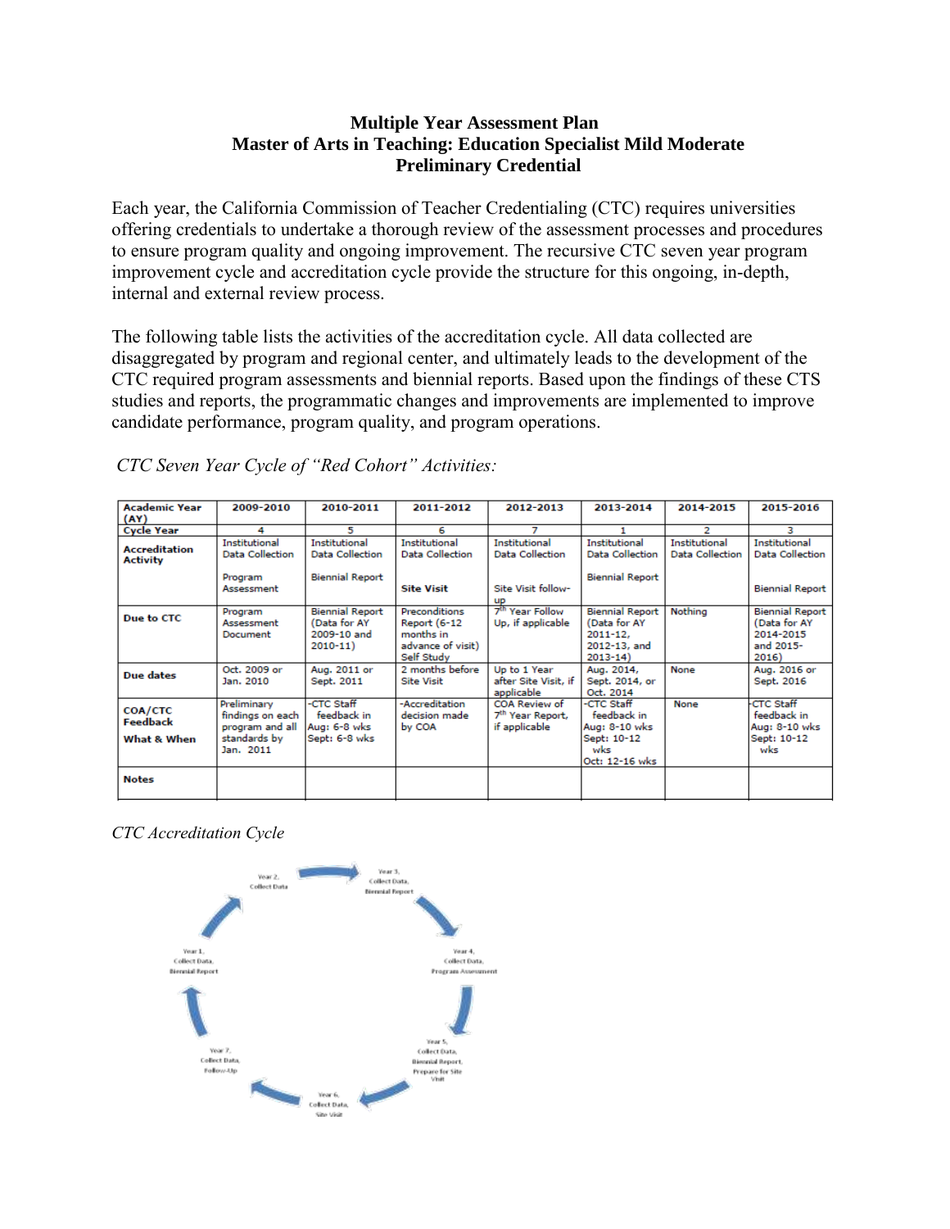## **Multiple Year Assessment Plan Master of Arts in Teaching: Education Specialist Mild Moderate Preliminary Credential**

Each year, the California Commission of Teacher Credentialing (CTC) requires universities offering credentials to undertake a thorough review of the assessment processes and procedures to ensure program quality and ongoing improvement. The recursive CTC seven year program improvement cycle and accreditation cycle provide the structure for this ongoing, in-depth, internal and external review process.

The following table lists the activities of the accreditation cycle. All data collected are disaggregated by program and regional center, and ultimately leads to the development of the CTC required program assessments and biennial reports. Based upon the findings of these CTS studies and reports, the programmatic changes and improvements are implemented to improve candidate performance, program quality, and program operations.

| <b>Academic Year</b><br>(AY)              | 2009-2010                                                                       | 2010-2011                                                             | 2011-2012                                                                                   | 2012-2013                                                      | 2013-2014                                                                             | 2014-2015                               | 2015-2016                                                                 |
|-------------------------------------------|---------------------------------------------------------------------------------|-----------------------------------------------------------------------|---------------------------------------------------------------------------------------------|----------------------------------------------------------------|---------------------------------------------------------------------------------------|-----------------------------------------|---------------------------------------------------------------------------|
| <b>Cycle Year</b>                         | 4                                                                               | 5                                                                     | 6                                                                                           |                                                                |                                                                                       | 2                                       | з                                                                         |
| <b>Accreditation</b><br><b>Activity</b>   | Institutional<br><b>Data Collection</b>                                         | Institutional<br><b>Data Collection</b>                               | Institutional<br><b>Data Collection</b>                                                     | Institutional<br>Data Collection                               | Institutional<br><b>Data Collection</b>                                               | Institutional<br><b>Data Collection</b> | Institutional<br><b>Data Collection</b>                                   |
|                                           | Program<br>Assessment                                                           | <b>Biennial Report</b>                                                | <b>Site Visit</b>                                                                           | Site Visit follow-<br><b>UD</b>                                | <b>Biennial Report</b>                                                                |                                         | <b>Biennial Report</b>                                                    |
| Due to CTC                                | Program<br>Assessment<br>Document                                               | <b>Biennial Report</b><br>(Data for AY<br>2009-10 and<br>$2010 - 11)$ | <b>Preconditions</b><br><b>Report (6-12</b><br>months in<br>advance of visit)<br>Self Study | 7 <sup>th</sup> Year Follow<br>Up, if applicable               | <b>Biennial Report</b><br>(Data for AY<br>$2011 - 12.$<br>2012-13, and<br>$2013 - 14$ | Nothina                                 | <b>Biennial Report</b><br>(Data for AY<br>2014-2015<br>and 2015-<br>2016) |
| Due dates                                 | Oct. 2009 or<br>Jan. 2010                                                       | Aug. 2011 or<br>Sept. 2011                                            | 2 months before<br><b>Site Visit</b>                                                        | Up to 1 Year<br>after Site Visit, if<br>applicable             | Aug. 2014,<br>Sept. 2014, or<br>Oct. 2014                                             | None                                    | Aug. 2016 or<br>Sept. 2016                                                |
| <b>COA/CTC</b><br>Feedback<br>What & When | Preliminary<br>findings on each<br>program and all<br>standards by<br>Jan. 2011 | -CTC Staff<br>feedback in<br>Aug: 6-8 wks<br>Sept: 6-8 wks            | -Accreditation<br>decision made<br>by COA                                                   | COA Review of<br>7 <sup>th</sup> Year Report,<br>if applicable | -CTC Staff<br>feedback in<br>Aug: 8-10 wks<br>Sept: 10-12<br>wks<br>Oct: 12-16 wks    | None                                    | <b>CTC Staff</b><br>feedback in<br>Aug: 8-10 wks<br>Sept: 10-12<br>wks    |
| <b>Notes</b>                              |                                                                                 |                                                                       |                                                                                             |                                                                |                                                                                       |                                         |                                                                           |

*CTC Seven Year Cycle of "Red Cohort" Activities:*

*CTC Accreditation Cycle*

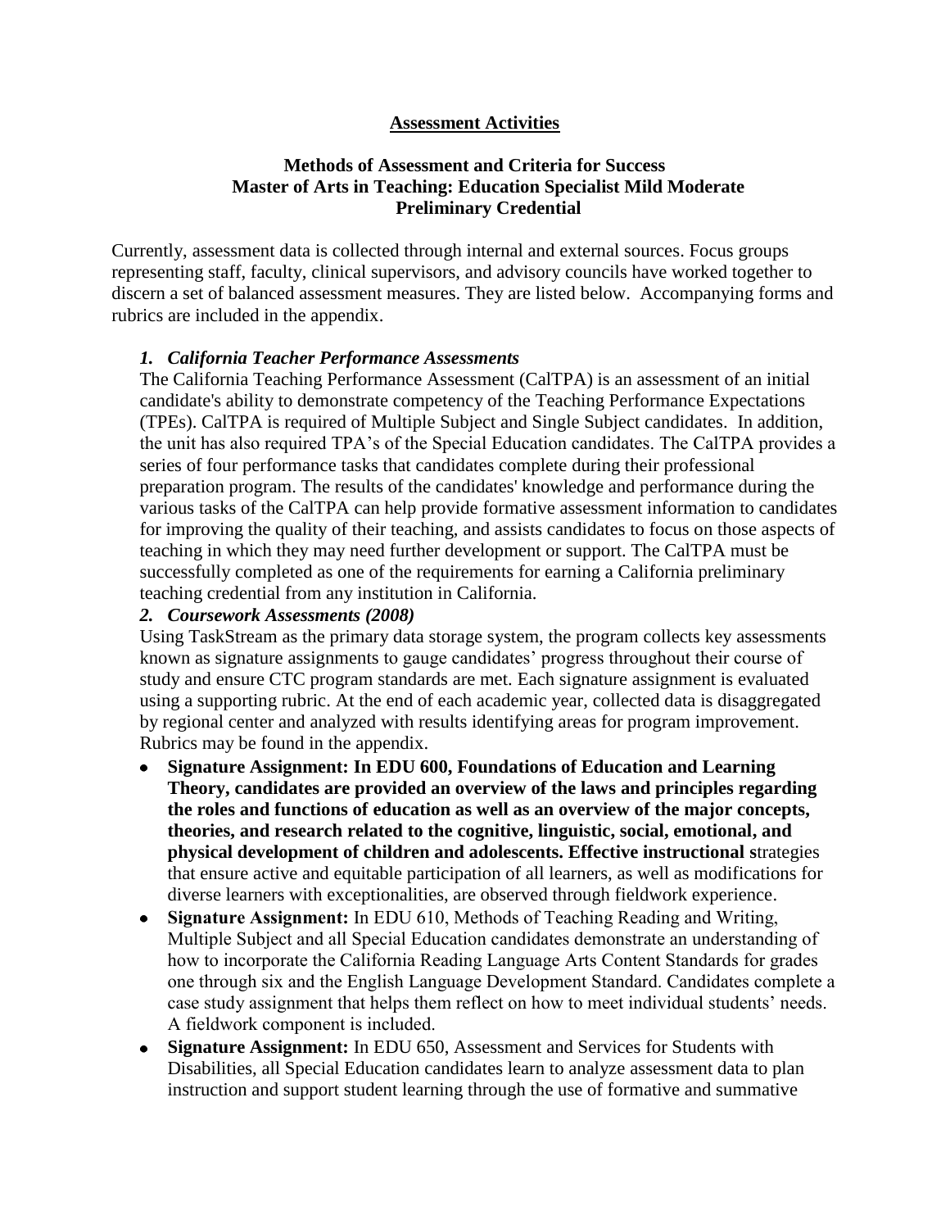## **Assessment Activities**

### **Methods of Assessment and Criteria for Success Master of Arts in Teaching: Education Specialist Mild Moderate Preliminary Credential**

Currently, assessment data is collected through internal and external sources. Focus groups representing staff, faculty, clinical supervisors, and advisory councils have worked together to discern a set of balanced assessment measures. They are listed below. Accompanying forms and rubrics are included in the appendix.

#### *1. California Teacher Performance Assessments*

The [California Teaching Performance Assessment \(CalTPA\)](https://portal.pointloma.edu/web/education/home/-/wiki/Main/Glossary) is an [assessment](https://portal.pointloma.edu/web/education/home/-/wiki/Main/Glossary) of an initial candidate's ability to demonstrate competency of the [Teaching Performance Expectations](https://portal.pointloma.edu/web/education/home/-/wiki/Main/TPES)  [\(TPEs\).](https://portal.pointloma.edu/web/education/home/-/wiki/Main/TPES) CalTPA is required of Multiple Subject and Single Subject candidates. In addition, the unit has also required TPA's of the Special Education candidates. The CalTPA provides a series of four performance tasks that candidates complete during their professional preparation program. The results of the candidates' knowledge and performance during the various tasks of the CalTPA can help provide formative assessment information to candidates for improving the quality of their teaching, and assists candidates to focus on those aspects of teaching in which they may need further development or support. The CalTPA must be successfully completed as one of the requirements for earning a California preliminary teaching credential from any institution in California.

#### *2. Coursework Assessments (2008)*

Using TaskStream as the primary data storage system, the program collects key assessments known as signature assignments to gauge candidates' progress throughout their course of study and ensure CTC program standards are met. Each signature assignment is evaluated using a supporting rubric. At the end of each academic year, collected data is disaggregated by regional center and analyzed with results identifying areas for program improvement. Rubrics may be found in the appendix.

- **Signature Assignment: In EDU 600, Foundations of Education and Learning**   $\bullet$ **Theory, candidates are provided an overview of the laws and principles regarding the roles and functions of education as well as an overview of the major concepts, theories, and research related to the cognitive, linguistic, social, emotional, and physical development of children and adolescents. Effective instructional s**trategies that ensure active and equitable participation of all learners, as well as modifications for diverse learners with exceptionalities, are observed through fieldwork experience.
- **Signature Assignment:** In EDU 610, Methods of Teaching Reading and Writing, Multiple Subject and all Special Education candidates demonstrate an understanding of how to incorporate the California Reading Language Arts Content Standards for grades one through six and the English Language Development Standard. Candidates complete a case study assignment that helps them reflect on how to meet individual students' needs. A fieldwork component is included.
- **Signature Assignment:** In EDU 650, Assessment and Services for Students with Disabilities, all Special Education candidates learn to analyze assessment data to plan instruction and support student learning through the use of formative and summative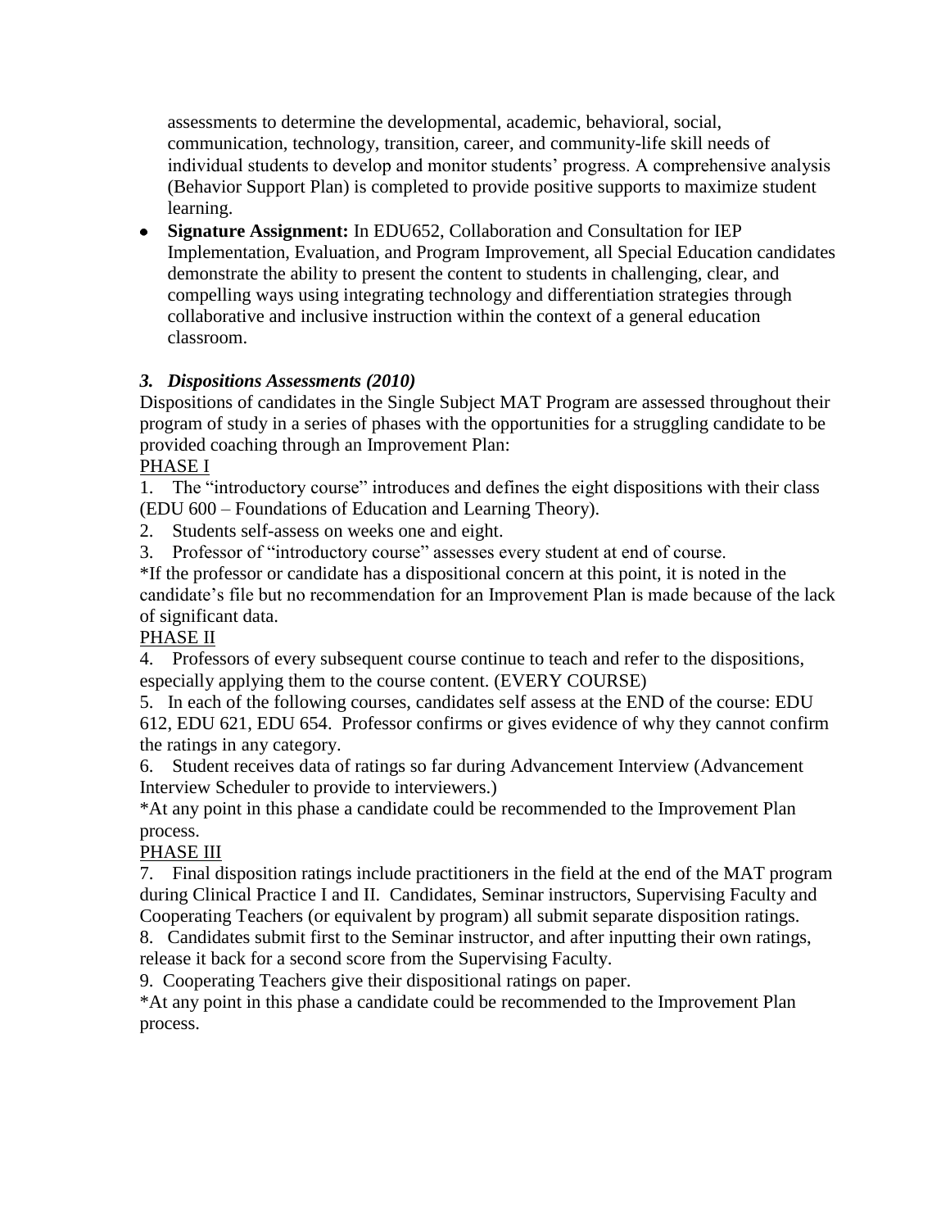assessments to determine the developmental, academic, behavioral, social, communication, technology, transition, career, and community-life skill needs of individual students to develop and monitor students' progress. A comprehensive analysis (Behavior Support Plan) is completed to provide positive supports to maximize student learning.

**Signature Assignment:** In EDU652, Collaboration and Consultation for IEP Implementation, Evaluation, and Program Improvement, all Special Education candidates demonstrate the ability to present the content to students in challenging, clear, and compelling ways using integrating technology and differentiation strategies through collaborative and inclusive instruction within the context of a general education classroom.

# *3. Dispositions Assessments (2010)*

Dispositions of candidates in the Single Subject MAT Program are assessed throughout their program of study in a series of phases with the opportunities for a struggling candidate to be provided coaching through an Improvement Plan:

PHASE I

1. The "introductory course" introduces and defines the eight dispositions with their class (EDU 600 – Foundations of Education and Learning Theory).

2. Students self-assess on weeks one and eight.

3. Professor of "introductory course" assesses every student at end of course.

\*If the professor or candidate has a dispositional concern at this point, it is noted in the candidate's file but no recommendation for an Improvement Plan is made because of the lack of significant data.

# PHASE II

4. Professors of every subsequent course continue to teach and refer to the dispositions, especially applying them to the course content. (EVERY COURSE)

5. In each of the following courses, candidates self assess at the END of the course: EDU 612, EDU 621, EDU 654. Professor confirms or gives evidence of why they cannot confirm the ratings in any category.

6. Student receives data of ratings so far during Advancement Interview (Advancement Interview Scheduler to provide to interviewers.)

\*At any point in this phase a candidate could be recommended to the Improvement Plan process.

# PHASE III

7. Final disposition ratings include practitioners in the field at the end of the MAT program during Clinical Practice I and II. Candidates, Seminar instructors, Supervising Faculty and Cooperating Teachers (or equivalent by program) all submit separate disposition ratings.

8. Candidates submit first to the Seminar instructor, and after inputting their own ratings, release it back for a second score from the Supervising Faculty.

9. Cooperating Teachers give their dispositional ratings on paper.

\*At any point in this phase a candidate could be recommended to the Improvement Plan process.